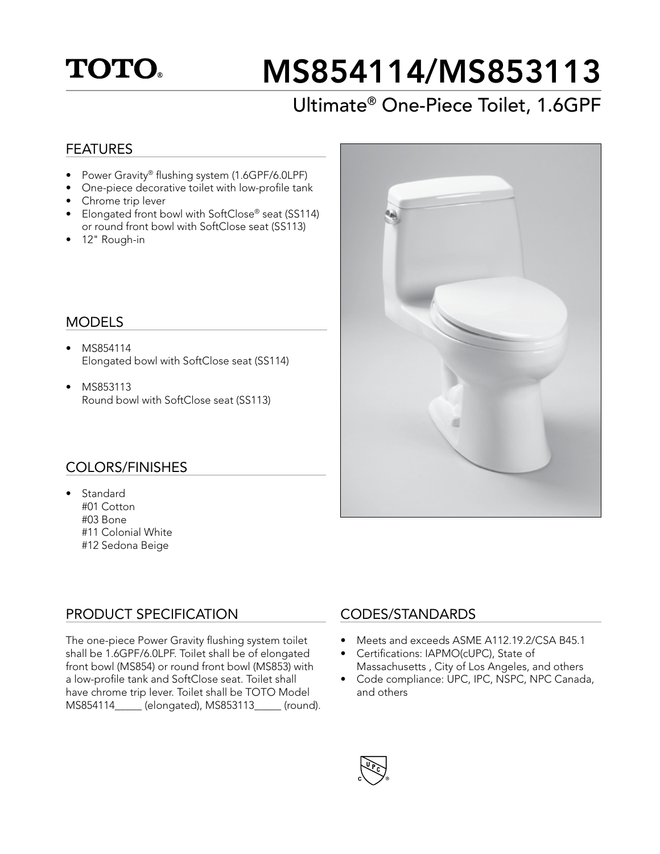## **TOTO**

# MS854114/MS853113

## Ultimate® One-Piece Toilet, 1.6GPF

#### FEATURES

- Power Gravity® flushing system (1.6GPF/6.0LPF)
- One-piece decorative toilet with low-profile tank
- Chrome trip lever
- Elongated front bowl with SoftClose® seat (SS114) or round front bowl with SoftClose seat (SS113)
- 12" Rough-in

#### MODELS

- MS854114 Elongated bowl with SoftClose seat (SS114)
- MS853113 Round bowl with SoftClose seat (SS113)

#### COLORS/FINISHES

• Standard #01 Cotton #03 Bone #11 Colonial White #12 Sedona Beige

#### PRODUCT SPECIFICATION

The one-piece Power Gravity flushing system toilet shall be 1.6GPF/6.0LPF. Toilet shall be of elongated front bowl (MS854) or round front bowl (MS853) with a low-profile tank and SoftClose seat. Toilet shall have chrome trip lever. Toilet shall be TOTO Model MS854114\_\_\_\_\_ (elongated), MS853113\_\_\_\_\_ (round).



#### CODES/STANDARDS

- Meets and exceeds ASME A112.19.2/CSA B45.1
- Certifications: IAPMO(cUPC), State of Massachusetts , City of Los Angeles, and others
- Code compliance: UPC, IPC, NSPC, NPC Canada, and others